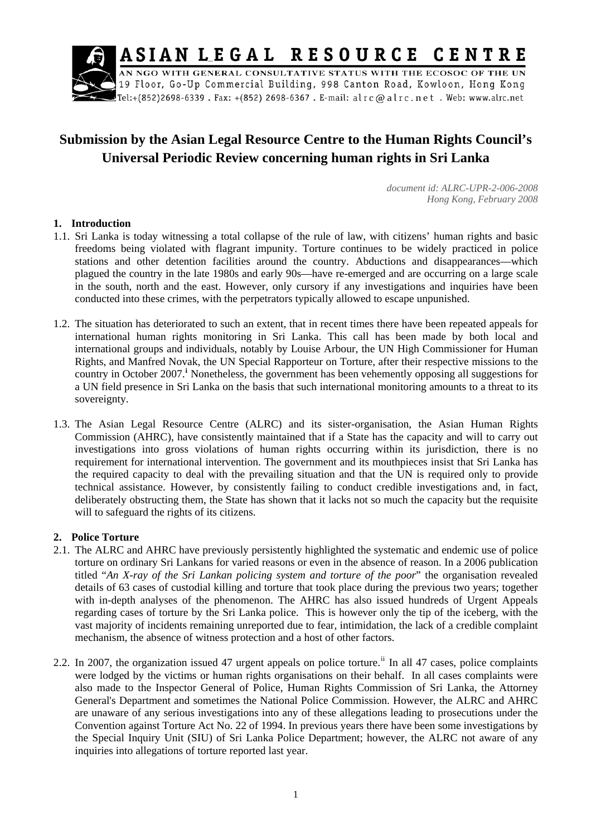

# **Submission by the Asian Legal Resource Centre to the Human Rights Council's Universal Periodic Review concerning human rights in Sri Lanka**

*document id: ALRC-UPR-2-006-2008 Hong Kong, February 2008* 

### **1. Introduction**

- 1.1. Sri Lanka is today witnessing a total collapse of the rule of law, with citizens' human rights and basic freedoms being violated with flagrant impunity. Torture continues to be widely practiced in police stations and other detention facilities around the country. Abductions and disappearances—which plagued the country in the late 1980s and early 90s—have re-emerged and are occurring on a large scale in the south, north and the east. However, only cursory if any investigations and inquiries have been conducted into these crimes, with the perpetrators typically allowed to escape unpunished.
- 1.2. The situation has deteriorated to such an extent, that in recent times there have been repeated appeals for international human rights monitoring in Sri Lanka. This call has been made by both local and international groups and individuals, notably by Louise Arbour, the UN High Commissioner for Human Rights, and Manfred Novak, the UN Special Rapporteur on Torture, after their respective missions to the country [i](#page-4-0)n October 2007.<sup>†</sup> Nonetheless, the government has been vehemently opposing all suggestions for a UN field presence in Sri Lanka on the basis that such international monitoring amounts to a threat to its sovereignty.
- 1.3. The Asian Legal Resource Centre (ALRC) and its sister-organisation, the Asian Human Rights Commission (AHRC), have consistently maintained that if a State has the capacity and will to carry out investigations into gross violations of human rights occurring within its jurisdiction, there is no requirement for international intervention. The government and its mouthpieces insist that Sri Lanka has the required capacity to deal with the prevailing situation and that the UN is required only to provide technical assistance. However, by consistently failing to conduct credible investigations and, in fact, deliberately obstructing them, the State has shown that it lacks not so much the capacity but the requisite will to safeguard the rights of its citizens.

#### **2. Police Torture**

- 2.1. The ALRC and AHRC have previously persistently highlighted the systematic and endemic use of police torture on ordinary Sri Lankans for varied reasons or even in the absence of reason. In a 2006 publication titled "*An X-ray of the Sri Lankan policing system and torture of the poor*" the organisation revealed details of 63 cases of custodial killing and torture that took place during the previous two years; together with in-depth analyses of the phenomenon. The AHRC has also issued hundreds of Urgent Appeals regarding cases of torture by the Sri Lanka police. This is however only the tip of the iceberg, with the vast majority of incidents remaining unreported due to fear, intimidation, the lack of a credible complaint mechanism, the absence of witness protection and a host of other factors.
- 2.2. In 2007, the organization issued 47 urgent appeals on police torture.<sup>[ii](#page-4-1)</sup> In all 47 cases, police complaints were lodged by the victims or human rights organisations on their behalf. In all cases complaints were also made to the Inspector General of Police, Human Rights Commission of Sri Lanka, the Attorney General's Department and sometimes the National Police Commission. However, the ALRC and AHRC are unaware of any serious investigations into any of these allegations leading to prosecutions under the Convention against Torture Act No. 22 of 1994. In previous years there have been some investigations by the Special Inquiry Unit (SIU) of Sri Lanka Police Department; however, the ALRC not aware of any inquiries into allegations of torture reported last year.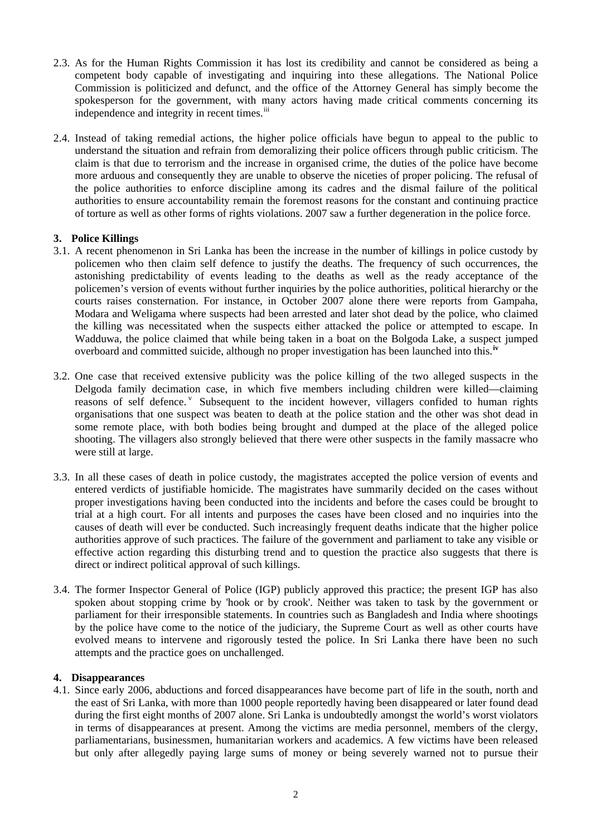- 2.3. As for the Human Rights Commission it has lost its credibility and cannot be considered as being a competent body capable of investigating and inquiring into these allegations. The National Police Commission is politicized and defunct, and the office of the Attorney General has simply become the spokesperson for the government, with many actors having made critical comments concerning its independence and integrity in recent times.<sup>[iii](#page-4-1)</sup>
- 2.4. Instead of taking remedial actions, the higher police officials have begun to appeal to the public to understand the situation and refrain from demoralizing their police officers through public criticism. The claim is that due to terrorism and the increase in organised crime, the duties of the police have become more arduous and consequently they are unable to observe the niceties of proper policing. The refusal of the police authorities to enforce discipline among its cadres and the dismal failure of the political authorities to ensure accountability remain the foremost reasons for the constant and continuing practice of torture as well as other forms of rights violations. 2007 saw a further degeneration in the police force.

## **3. Police Killings**

- 3.1. A recent phenomenon in Sri Lanka has been the increase in the number of killings in police custody by policemen who then claim self defence to justify the deaths. The frequency of such occurrences, the astonishing predictability of events leading to the deaths as well as the ready acceptance of the policemen's version of events without further inquiries by the police authorities, political hierarchy or the courts raises consternation. For instance, in October 2007 alone there were reports from Gampaha, Modara and Weligama where suspects had been arrested and later shot dead by the police, who claimed the killing was necessitated when the suspects either attacked the police or attempted to escape. In Wadduwa, the police claimed that while being taken in a boat on the Bolgoda Lake, a suspect jumped overboard and committed suicide, although no proper investigation has been launched into this.<sup>i</sup>
- 3.2. One case that received extensive publicity was the police killing of the two alleged suspects in the Delgoda family decimation case, in which five members including children were killed—claiming reasons of self defence. <sup>[v](#page-4-1)</sup> Subsequent to the incident however, villagers confided to human rights organisations that one suspect was beaten to death at the police station and the other was shot dead in some remote place, with both bodies being brought and dumped at the place of the alleged police shooting. The villagers also strongly believed that there were other suspects in the family massacre who were still at large.
- 3.3. In all these cases of death in police custody, the magistrates accepted the police version of events and entered verdicts of justifiable homicide. The magistrates have summarily decided on the cases without proper investigations having been conducted into the incidents and before the cases could be brought to trial at a high court. For all intents and purposes the cases have been closed and no inquiries into the causes of death will ever be conducted. Such increasingly frequent deaths indicate that the higher police authorities approve of such practices. The failure of the government and parliament to take any visible or effective action regarding this disturbing trend and to question the practice also suggests that there is direct or indirect political approval of such killings.
- 3.4. The former Inspector General of Police (IGP) publicly approved this practice; the present IGP has also spoken about stopping crime by 'hook or by crook'. Neither was taken to task by the government or parliament for their irresponsible statements. In countries such as Bangladesh and India where shootings by the police have come to the notice of the judiciary, the Supreme Court as well as other courts have evolved means to intervene and rigorously tested the police. In Sri Lanka there have been no such attempts and the practice goes on unchallenged.

#### **4. Disappearances**

4.1. Since early 2006, abductions and forced disappearances have become part of life in the south, north and the east of Sri Lanka, with more than 1000 people reportedly having been disappeared or later found dead during the first eight months of 2007 alone. Sri Lanka is undoubtedly amongst the world's worst violators in terms of disappearances at present. Among the victims are media personnel, members of the clergy, parliamentarians, businessmen, humanitarian workers and academics. A few victims have been released but only after allegedly paying large sums of money or being severely warned not to pursue their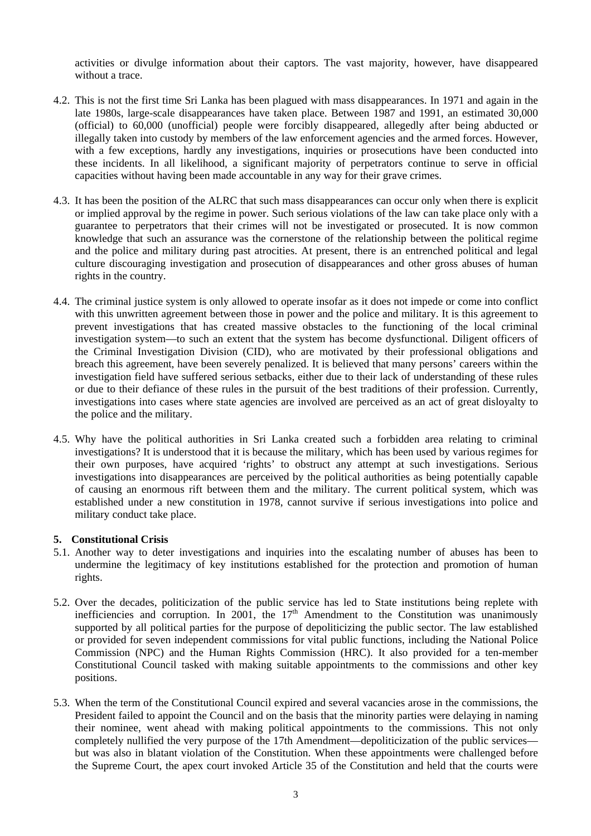activities or divulge information about their captors. The vast majority, however, have disappeared without a trace.

- 4.2. This is not the first time Sri Lanka has been plagued with mass disappearances. In 1971 and again in the late 1980s, large-scale disappearances have taken place. Between 1987 and 1991, an estimated 30,000 (official) to 60,000 (unofficial) people were forcibly disappeared, allegedly after being abducted or illegally taken into custody by members of the law enforcement agencies and the armed forces. However, with a few exceptions, hardly any investigations, inquiries or prosecutions have been conducted into these incidents. In all likelihood, a significant majority of perpetrators continue to serve in official capacities without having been made accountable in any way for their grave crimes.
- 4.3. It has been the position of the ALRC that such mass disappearances can occur only when there is explicit or implied approval by the regime in power. Such serious violations of the law can take place only with a guarantee to perpetrators that their crimes will not be investigated or prosecuted. It is now common knowledge that such an assurance was the cornerstone of the relationship between the political regime and the police and military during past atrocities. At present, there is an entrenched political and legal culture discouraging investigation and prosecution of disappearances and other gross abuses of human rights in the country.
- 4.4. The criminal justice system is only allowed to operate insofar as it does not impede or come into conflict with this unwritten agreement between those in power and the police and military. It is this agreement to prevent investigations that has created massive obstacles to the functioning of the local criminal investigation system—to such an extent that the system has become dysfunctional. Diligent officers of the Criminal Investigation Division (CID), who are motivated by their professional obligations and breach this agreement, have been severely penalized. It is believed that many persons' careers within the investigation field have suffered serious setbacks, either due to their lack of understanding of these rules or due to their defiance of these rules in the pursuit of the best traditions of their profession. Currently, investigations into cases where state agencies are involved are perceived as an act of great disloyalty to the police and the military.
- 4.5. Why have the political authorities in Sri Lanka created such a forbidden area relating to criminal investigations? It is understood that it is because the military, which has been used by various regimes for their own purposes, have acquired 'rights' to obstruct any attempt at such investigations. Serious investigations into disappearances are perceived by the political authorities as being potentially capable of causing an enormous rift between them and the military. The current political system, which was established under a new constitution in 1978, cannot survive if serious investigations into police and military conduct take place.

#### **5. Constitutional Crisis**

- 5.1. Another way to deter investigations and inquiries into the escalating number of abuses has been to undermine the legitimacy of key institutions established for the protection and promotion of human rights.
- 5.2. Over the decades, politicization of the public service has led to State institutions being replete with inefficiencies and corruption. In 2001, the  $17<sup>th</sup>$  Amendment to the Constitution was unanimously supported by all political parties for the purpose of depoliticizing the public sector. The law established or provided for seven independent commissions for vital public functions, including the National Police Commission (NPC) and the Human Rights Commission (HRC). It also provided for a ten-member Constitutional Council tasked with making suitable appointments to the commissions and other key positions.
- 5.3. When the term of the Constitutional Council expired and several vacancies arose in the commissions, the President failed to appoint the Council and on the basis that the minority parties were delaying in naming their nominee, went ahead with making political appointments to the commissions. This not only completely nullified the very purpose of the 17th Amendment—depoliticization of the public services but was also in blatant violation of the Constitution. When these appointments were challenged before the Supreme Court, the apex court invoked Article 35 of the Constitution and held that the courts were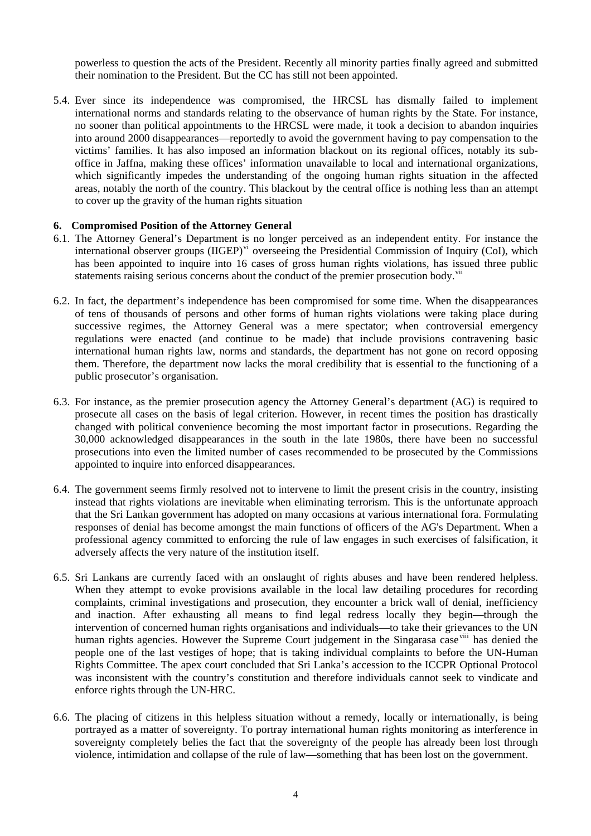powerless to question the acts of the President. Recently all minority parties finally agreed and submitted their nomination to the President. But the CC has still not been appointed.

5.4. Ever since its independence was compromised, the HRCSL has dismally failed to implement international norms and standards relating to the observance of human rights by the State. For instance, no sooner than political appointments to the HRCSL were made, it took a decision to abandon inquiries into around 2000 disappearances—reportedly to avoid the government having to pay compensation to the victims' families. It has also imposed an information blackout on its regional offices, notably its suboffice in Jaffna, making these offices' information unavailable to local and international organizations, which significantly impedes the understanding of the ongoing human rights situation in the affected areas, notably the north of the country. This blackout by the central office is nothing less than an attempt to cover up the gravity of the human rights situation

#### **6. Compromised Position of the Attorney General**

- 6.1. The Attorney General's Department is no longer perceived as an independent entity. For instance the international observer groups (IIGEP)<sup>[vi](#page-4-1)</sup> overseeing the Presidential Commission of Inquiry (CoI), which has been appointed to inquire into 16 cases of gross human rights violations, has issued three public statements raising serious concerns about the conduct of the premier prosecution body.<sup>[vii](#page-4-1)</sup>
- 6.2. In fact, the department's independence has been compromised for some time. When the disappearances of tens of thousands of persons and other forms of human rights violations were taking place during successive regimes, the Attorney General was a mere spectator; when controversial emergency regulations were enacted (and continue to be made) that include provisions contravening basic international human rights law, norms and standards, the department has not gone on record opposing them. Therefore, the department now lacks the moral credibility that is essential to the functioning of a public prosecutor's organisation.
- 6.3. For instance, as the premier prosecution agency the Attorney General's department (AG) is required to prosecute all cases on the basis of legal criterion. However, in recent times the position has drastically changed with political convenience becoming the most important factor in prosecutions. Regarding the 30,000 acknowledged disappearances in the south in the late 1980s, there have been no successful prosecutions into even the limited number of cases recommended to be prosecuted by the Commissions appointed to inquire into enforced disappearances.
- 6.4. The government seems firmly resolved not to intervene to limit the present crisis in the country, insisting instead that rights violations are inevitable when eliminating terrorism. This is the unfortunate approach that the Sri Lankan government has adopted on many occasions at various international fora. Formulating responses of denial has become amongst the main functions of officers of the AG's Department. When a professional agency committed to enforcing the rule of law engages in such exercises of falsification, it adversely affects the very nature of the institution itself.
- 6.5. Sri Lankans are currently faced with an onslaught of rights abuses and have been rendered helpless. When they attempt to evoke provisions available in the local law detailing procedures for recording complaints, criminal investigations and prosecution, they encounter a brick wall of denial, inefficiency and inaction. After exhausting all means to find legal redress locally they begin—through the intervention of concerned human rights organisations and individuals—to take their grievances to the UN human rights agencies. However the Supreme Court judgement in the Singarasa case <sup>[viii](#page-4-1)</sup> has denied the people one of the last vestiges of hope; that is taking individual complaints to before the UN-Human Rights Committee. The apex court concluded that Sri Lanka's accession to the ICCPR Optional Protocol was inconsistent with the country's constitution and therefore individuals cannot seek to vindicate and enforce rights through the UN-HRC.
- 6.6. The placing of citizens in this helpless situation without a remedy, locally or internationally, is being portrayed as a matter of sovereignty. To portray international human rights monitoring as interference in sovereignty completely belies the fact that the sovereignty of the people has already been lost through violence, intimidation and collapse of the rule of law—something that has been lost on the government.